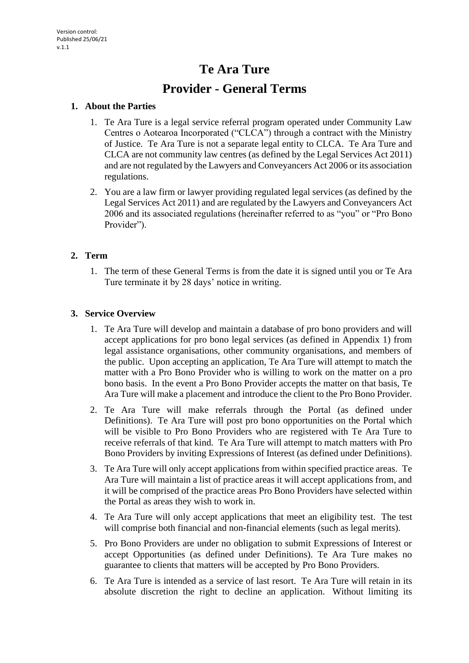# **Te Ara Ture**

# **Provider - General Terms**

## **1. About the Parties**

- 1. Te Ara Ture is a legal service referral program operated under Community Law Centres o Aotearoa Incorporated ("CLCA") through a contract with the Ministry of Justice. Te Ara Ture is not a separate legal entity to CLCA. Te Ara Ture and CLCA are not community law centres (as defined by the Legal Services Act 2011) and are not regulated by the Lawyers and Conveyancers Act 2006 or its association regulations.
- 2. You are a law firm or lawyer providing regulated legal services (as defined by the Legal Services Act 2011) and are regulated by the Lawyers and Conveyancers Act 2006 and its associated regulations (hereinafter referred to as "you" or "Pro Bono Provider").

# **2. Term**

1. The term of these General Terms is from the date it is signed until you or Te Ara Ture terminate it by 28 days' notice in writing.

# **3. Service Overview**

- 1. Te Ara Ture will develop and maintain a database of pro bono providers and will accept applications for pro bono legal services (as defined in Appendix 1) from legal assistance organisations, other community organisations, and members of the public. Upon accepting an application, Te Ara Ture will attempt to match the matter with a Pro Bono Provider who is willing to work on the matter on a pro bono basis. In the event a Pro Bono Provider accepts the matter on that basis, Te Ara Ture will make a placement and introduce the client to the Pro Bono Provider.
- 2. Te Ara Ture will make referrals through the Portal (as defined under Definitions). Te Ara Ture will post pro bono opportunities on the Portal which will be visible to Pro Bono Providers who are registered with Te Ara Ture to receive referrals of that kind. Te Ara Ture will attempt to match matters with Pro Bono Providers by inviting Expressions of Interest (as defined under Definitions).
- 3. Te Ara Ture will only accept applications from within specified practice areas. Te Ara Ture will maintain a list of practice areas it will accept applications from, and it will be comprised of the practice areas Pro Bono Providers have selected within the Portal as areas they wish to work in.
- 4. Te Ara Ture will only accept applications that meet an eligibility test. The test will comprise both financial and non-financial elements (such as legal merits).
- 5. Pro Bono Providers are under no obligation to submit Expressions of Interest or accept Opportunities (as defined under Definitions). Te Ara Ture makes no guarantee to clients that matters will be accepted by Pro Bono Providers.
- 6. Te Ara Ture is intended as a service of last resort. Te Ara Ture will retain in its absolute discretion the right to decline an application. Without limiting its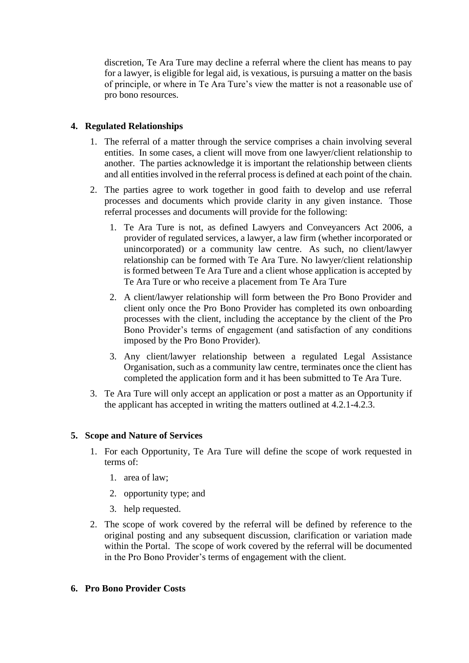discretion, Te Ara Ture may decline a referral where the client has means to pay for a lawyer, is eligible for legal aid, is vexatious, is pursuing a matter on the basis of principle, or where in Te Ara Ture's view the matter is not a reasonable use of pro bono resources.

# **4. Regulated Relationships**

- 1. The referral of a matter through the service comprises a chain involving several entities. In some cases, a client will move from one lawyer/client relationship to another. The parties acknowledge it is important the relationship between clients and all entities involved in the referral process is defined at each point of the chain.
- 2. The parties agree to work together in good faith to develop and use referral processes and documents which provide clarity in any given instance. Those referral processes and documents will provide for the following:
	- 1. Te Ara Ture is not, as defined Lawyers and Conveyancers Act 2006, a provider of regulated services, a lawyer, a law firm (whether incorporated or unincorporated) or a community law centre. As such, no client/lawyer relationship can be formed with Te Ara Ture. No lawyer/client relationship is formed between Te Ara Ture and a client whose application is accepted by Te Ara Ture or who receive a placement from Te Ara Ture
	- 2. A client/lawyer relationship will form between the Pro Bono Provider and client only once the Pro Bono Provider has completed its own onboarding processes with the client, including the acceptance by the client of the Pro Bono Provider's terms of engagement (and satisfaction of any conditions imposed by the Pro Bono Provider).
	- 3. Any client/lawyer relationship between a regulated Legal Assistance Organisation, such as a community law centre, terminates once the client has completed the application form and it has been submitted to Te Ara Ture.
- 3. Te Ara Ture will only accept an application or post a matter as an Opportunity if the applicant has accepted in writing the matters outlined at 4.2.1-4.2.3.

# **5. Scope and Nature of Services**

- 1. For each Opportunity, Te Ara Ture will define the scope of work requested in terms of:
	- 1. area of law;
	- 2. opportunity type; and
	- 3. help requested.
- 2. The scope of work covered by the referral will be defined by reference to the original posting and any subsequent discussion, clarification or variation made within the Portal. The scope of work covered by the referral will be documented in the Pro Bono Provider's terms of engagement with the client.

#### **6. Pro Bono Provider Costs**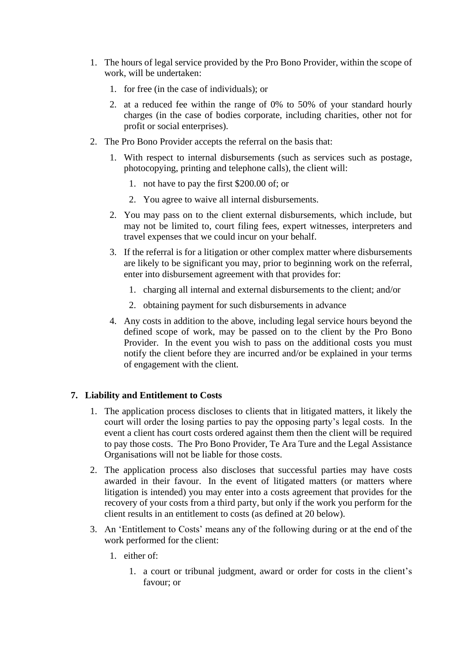- 1. The hours of legal service provided by the Pro Bono Provider, within the scope of work, will be undertaken:
	- 1. for free (in the case of individuals); or
	- 2. at a reduced fee within the range of 0% to 50% of your standard hourly charges (in the case of bodies corporate, including charities, other not for profit or social enterprises).
- 2. The Pro Bono Provider accepts the referral on the basis that:
	- 1. With respect to internal disbursements (such as services such as postage, photocopying, printing and telephone calls), the client will:
		- 1. not have to pay the first \$200.00 of; or
		- 2. You agree to waive all internal disbursements.
	- 2. You may pass on to the client external disbursements, which include, but may not be limited to, court filing fees, expert witnesses, interpreters and travel expenses that we could incur on your behalf.
	- 3. If the referral is for a litigation or other complex matter where disbursements are likely to be significant you may, prior to beginning work on the referral, enter into disbursement agreement with that provides for:
		- 1. charging all internal and external disbursements to the client; and/or
		- 2. obtaining payment for such disbursements in advance
	- 4. Any costs in addition to the above, including legal service hours beyond the defined scope of work, may be passed on to the client by the Pro Bono Provider. In the event you wish to pass on the additional costs you must notify the client before they are incurred and/or be explained in your terms of engagement with the client.

# **7. Liability and Entitlement to Costs**

- 1. The application process discloses to clients that in litigated matters, it likely the court will order the losing parties to pay the opposing party's legal costs. In the event a client has court costs ordered against them then the client will be required to pay those costs. The Pro Bono Provider, Te Ara Ture and the Legal Assistance Organisations will not be liable for those costs.
- 2. The application process also discloses that successful parties may have costs awarded in their favour. In the event of litigated matters (or matters where litigation is intended) you may enter into a costs agreement that provides for the recovery of your costs from a third party, but only if the work you perform for the client results in an entitlement to costs (as defined at 20 below).
- 3. An 'Entitlement to Costs' means any of the following during or at the end of the work performed for the client:
	- 1. either of:
		- 1. a court or tribunal judgment, award or order for costs in the client's favour; or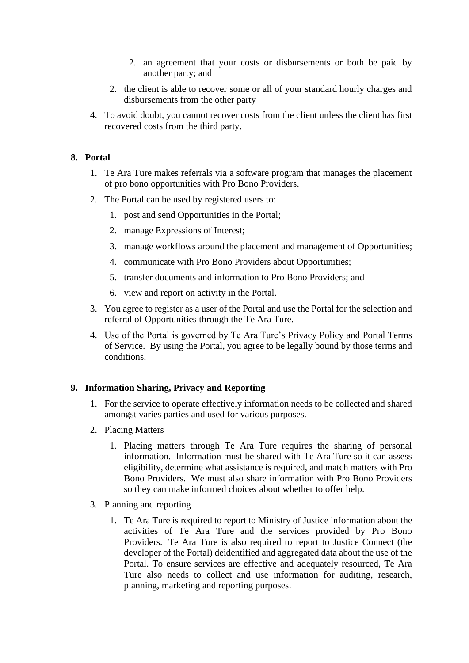- 2. an agreement that your costs or disbursements or both be paid by another party; and
- 2. the client is able to recover some or all of your standard hourly charges and disbursements from the other party
- 4. To avoid doubt, you cannot recover costs from the client unless the client has first recovered costs from the third party.

## **8. Portal**

- 1. Te Ara Ture makes referrals via a software program that manages the placement of pro bono opportunities with Pro Bono Providers.
- 2. The Portal can be used by registered users to:
	- 1. post and send Opportunities in the Portal;
	- 2. manage Expressions of Interest;
	- 3. manage workflows around the placement and management of Opportunities;
	- 4. communicate with Pro Bono Providers about Opportunities;
	- 5. transfer documents and information to Pro Bono Providers; and
	- 6. view and report on activity in the Portal.
- 3. You agree to register as a user of the Portal and use the Portal for the selection and referral of Opportunities through the Te Ara Ture.
- 4. Use of the Portal is governed by Te Ara Ture's Privacy Policy and Portal Terms of Service. By using the Portal, you agree to be legally bound by those terms and conditions.

#### **9. Information Sharing, Privacy and Reporting**

- 1. For the service to operate effectively information needs to be collected and shared amongst varies parties and used for various purposes.
- 2. Placing Matters
	- 1. Placing matters through Te Ara Ture requires the sharing of personal information. Information must be shared with Te Ara Ture so it can assess eligibility, determine what assistance is required, and match matters with Pro Bono Providers. We must also share information with Pro Bono Providers so they can make informed choices about whether to offer help.
- 3. Planning and reporting
	- 1. Te Ara Ture is required to report to Ministry of Justice information about the activities of Te Ara Ture and the services provided by Pro Bono Providers. Te Ara Ture is also required to report to Justice Connect (the developer of the Portal) deidentified and aggregated data about the use of the Portal. To ensure services are effective and adequately resourced, Te Ara Ture also needs to collect and use information for auditing, research, planning, marketing and reporting purposes.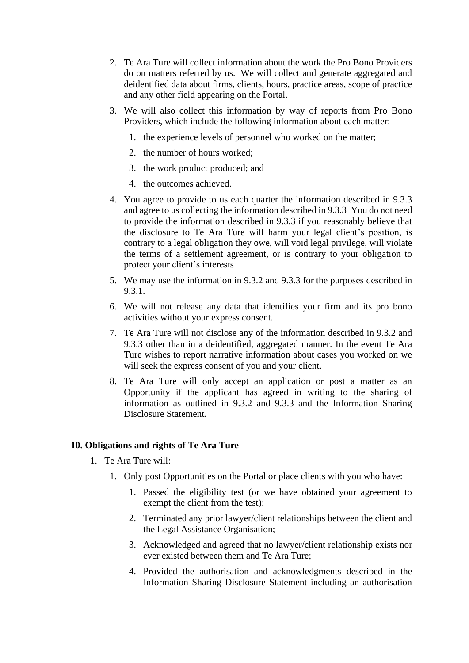- 2. Te Ara Ture will collect information about the work the Pro Bono Providers do on matters referred by us. We will collect and generate aggregated and deidentified data about firms, clients, hours, practice areas, scope of practice and any other field appearing on the Portal.
- 3. We will also collect this information by way of reports from Pro Bono Providers, which include the following information about each matter:
	- 1. the experience levels of personnel who worked on the matter;
	- 2. the number of hours worked;
	- 3. the work product produced; and
	- 4. the outcomes achieved.
- 4. You agree to provide to us each quarter the information described in 9.3.3 and agree to us collecting the information described in 9.3.3 You do not need to provide the information described in 9.3.3 if you reasonably believe that the disclosure to Te Ara Ture will harm your legal client's position, is contrary to a legal obligation they owe, will void legal privilege, will violate the terms of a settlement agreement, or is contrary to your obligation to protect your client's interests
- 5. We may use the information in 9.3.2 and 9.3.3 for the purposes described in 9.3.1.
- 6. We will not release any data that identifies your firm and its pro bono activities without your express consent.
- 7. Te Ara Ture will not disclose any of the information described in 9.3.2 and 9.3.3 other than in a deidentified, aggregated manner. In the event Te Ara Ture wishes to report narrative information about cases you worked on we will seek the express consent of you and your client.
- 8. Te Ara Ture will only accept an application or post a matter as an Opportunity if the applicant has agreed in writing to the sharing of information as outlined in 9.3.2 and 9.3.3 and the Information Sharing Disclosure Statement.

#### **10. Obligations and rights of Te Ara Ture**

- 1. Te Ara Ture will:
	- 1. Only post Opportunities on the Portal or place clients with you who have:
		- 1. Passed the eligibility test (or we have obtained your agreement to exempt the client from the test);
		- 2. Terminated any prior lawyer/client relationships between the client and the Legal Assistance Organisation;
		- 3. Acknowledged and agreed that no lawyer/client relationship exists nor ever existed between them and Te Ara Ture;
		- 4. Provided the authorisation and acknowledgments described in the Information Sharing Disclosure Statement including an authorisation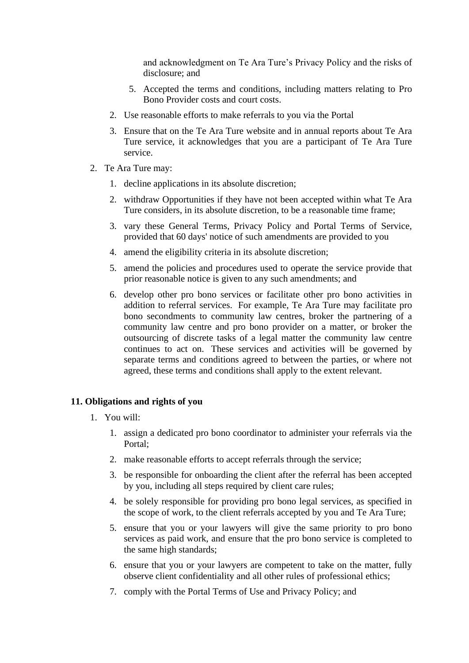and acknowledgment on Te Ara Ture's Privacy Policy and the risks of disclosure; and

- 5. Accepted the terms and conditions, including matters relating to Pro Bono Provider costs and court costs.
- 2. Use reasonable efforts to make referrals to you via the Portal
- 3. Ensure that on the Te Ara Ture website and in annual reports about Te Ara Ture service, it acknowledges that you are a participant of Te Ara Ture service.
- 2. Te Ara Ture may:
	- 1. decline applications in its absolute discretion;
	- 2. withdraw Opportunities if they have not been accepted within what Te Ara Ture considers, in its absolute discretion, to be a reasonable time frame;
	- 3. vary these General Terms, Privacy Policy and Portal Terms of Service, provided that 60 days' notice of such amendments are provided to you
	- 4. amend the eligibility criteria in its absolute discretion;
	- 5. amend the policies and procedures used to operate the service provide that prior reasonable notice is given to any such amendments; and
	- 6. develop other pro bono services or facilitate other pro bono activities in addition to referral services. For example, Te Ara Ture may facilitate pro bono secondments to community law centres, broker the partnering of a community law centre and pro bono provider on a matter, or broker the outsourcing of discrete tasks of a legal matter the community law centre continues to act on. These services and activities will be governed by separate terms and conditions agreed to between the parties, or where not agreed, these terms and conditions shall apply to the extent relevant.

#### **11. Obligations and rights of you**

- 1. You will:
	- 1. assign a dedicated pro bono coordinator to administer your referrals via the Portal;
	- 2. make reasonable efforts to accept referrals through the service;
	- 3. be responsible for onboarding the client after the referral has been accepted by you, including all steps required by client care rules;
	- 4. be solely responsible for providing pro bono legal services, as specified in the scope of work, to the client referrals accepted by you and Te Ara Ture;
	- 5. ensure that you or your lawyers will give the same priority to pro bono services as paid work, and ensure that the pro bono service is completed to the same high standards;
	- 6. ensure that you or your lawyers are competent to take on the matter, fully observe client confidentiality and all other rules of professional ethics;
	- 7. comply with the Portal Terms of Use and Privacy Policy; and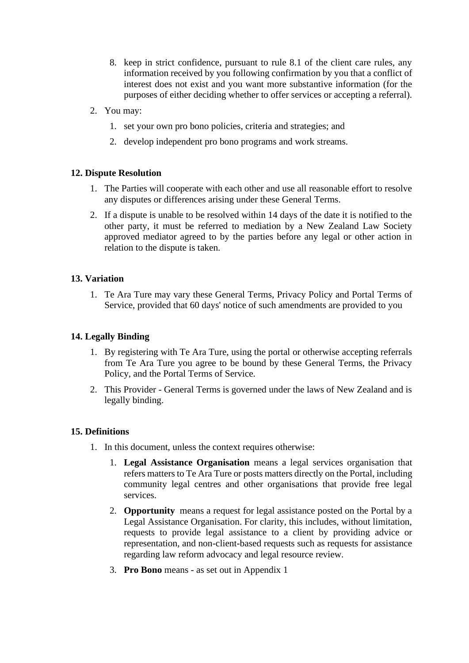- 8. keep in strict confidence, pursuant to rule 8.1 of the client care rules, any information received by you following confirmation by you that a conflict of interest does not exist and you want more substantive information (for the purposes of either deciding whether to offer services or accepting a referral).
- 2. You may:
	- 1. set your own pro bono policies, criteria and strategies; and
	- 2. develop independent pro bono programs and work streams.

## **12. Dispute Resolution**

- 1. The Parties will cooperate with each other and use all reasonable effort to resolve any disputes or differences arising under these General Terms.
- 2. If a dispute is unable to be resolved within 14 days of the date it is notified to the other party, it must be referred to mediation by a New Zealand Law Society approved mediator agreed to by the parties before any legal or other action in relation to the dispute is taken.

## **13. Variation**

1. Te Ara Ture may vary these General Terms, Privacy Policy and Portal Terms of Service, provided that 60 days' notice of such amendments are provided to you

### **14. Legally Binding**

- 1. By registering with Te Ara Ture, using the portal or otherwise accepting referrals from Te Ara Ture you agree to be bound by these General Terms, the Privacy Policy, and the Portal Terms of Service.
- 2. This Provider General Terms is governed under the laws of New Zealand and is legally binding.

#### **15. Definitions**

- 1. In this document, unless the context requires otherwise:
	- 1. **Legal Assistance Organisation** means a legal services organisation that refers matters to Te Ara Ture or posts matters directly on the Portal, including community legal centres and other organisations that provide free legal services.
	- 2. **Opportunity** means a request for legal assistance posted on the Portal by a Legal Assistance Organisation. For clarity, this includes, without limitation, requests to provide legal assistance to a client by providing advice or representation, and non-client-based requests such as requests for assistance regarding law reform advocacy and legal resource review.
	- 3. **Pro Bono** means as set out in Appendix 1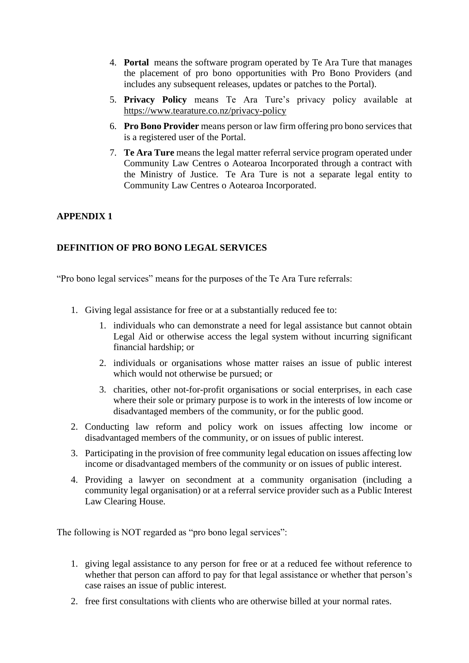- 4. **Portal** means the software program operated by Te Ara Ture that manages the placement of pro bono opportunities with Pro Bono Providers (and includes any subsequent releases, updates or patches to the Portal).
- 5. **Privacy Policy** means Te Ara Ture's privacy policy available at https://www.tearature.co.nz/privacy-policy
- 6. **Pro Bono Provider** means person or law firm offering pro bono services that is a registered user of the Portal.
- 7. **Te Ara Ture** means the legal matter referral service program operated under Community Law Centres o Aotearoa Incorporated through a contract with the Ministry of Justice. Te Ara Ture is not a separate legal entity to Community Law Centres o Aotearoa Incorporated.

# **APPENDIX 1**

# **DEFINITION OF PRO BONO LEGAL SERVICES**

"Pro bono legal services" means for the purposes of the Te Ara Ture referrals:

- 1. Giving legal assistance for free or at a substantially reduced fee to:
	- 1. individuals who can demonstrate a need for legal assistance but cannot obtain Legal Aid or otherwise access the legal system without incurring significant financial hardship; or
	- 2. individuals or organisations whose matter raises an issue of public interest which would not otherwise be pursued; or
	- 3. charities, other not-for-profit organisations or social enterprises, in each case where their sole or primary purpose is to work in the interests of low income or disadvantaged members of the community, or for the public good.
- 2. Conducting law reform and policy work on issues affecting low income or disadvantaged members of the community, or on issues of public interest.
- 3. Participating in the provision of free community legal education on issues affecting low income or disadvantaged members of the community or on issues of public interest.
- 4. Providing a lawyer on secondment at a community organisation (including a community legal organisation) or at a referral service provider such as a Public Interest Law Clearing House.

The following is NOT regarded as "pro bono legal services":

- 1. giving legal assistance to any person for free or at a reduced fee without reference to whether that person can afford to pay for that legal assistance or whether that person's case raises an issue of public interest.
- 2. free first consultations with clients who are otherwise billed at your normal rates.